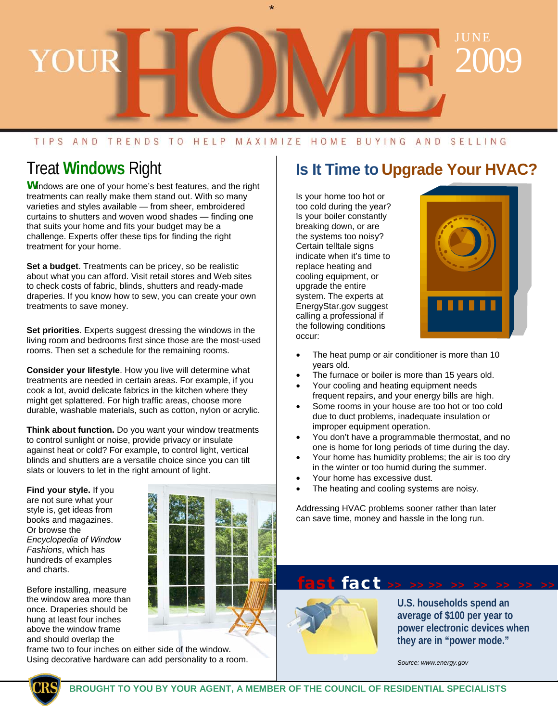# JUNE 2009 YOUE

#### TIPS AND TRENDS TO HELP MAXIMIZE HOME BUYING AND SELLING

### Treat **Windows** Right

**W**indows are one of your home's best features, and the right treatments can really make them stand out. With so many varieties and styles available — from sheer, embroidered curtains to shutters and woven wood shades — finding one that suits your home and fits your budget may be a challenge. Experts offer these tips for finding the right treatment for your home.

**Set a budget**. Treatments can be pricey, so be realistic about what you can afford. Visit retail stores and Web sites to check costs of fabric, blinds, shutters and ready-made draperies. If you know how to sew, you can create your own treatments to save money.

**Set priorities**. Experts suggest dressing the windows in the living room and bedrooms first since those are the most-used rooms. Then set a schedule for the remaining rooms.

**Consider your lifestyle**. How you live will determine what treatments are needed in certain areas. For example, if you cook a lot, avoid delicate fabrics in the kitchen where they might get splattered. For high traffic areas, choose more durable, washable materials, such as cotton, nylon or acrylic.

**Think about function.** Do you want your window treatments to control sunlight or noise, provide privacy or insulate against heat or cold? For example, to control light, vertical blinds and shutters are a versatile choice since you can tilt slats or louvers to let in the right amount of light.

**Find your style.** If you are not sure what your style is, get ideas from books and magazines. Or browse the *Encyclopedia of Window Fashions*, which has hundreds of examples and charts.

Before installing, measure the window area more than once. Draperies should be hung at least four inches above the window frame and should overlap the

frame two to four inches on either side of the window. Using decorative hardware can add personality to a room.

### **Is It Time to Upgrade Your HVAC?**

Is your home too hot or too cold during the year? Is your boiler constantly breaking down, or are the systems too noisy? Certain telltale signs indicate when it's time to replace heating and cooling equipment, or upgrade the entire system. The experts at EnergyStar.gov suggest calling a professional if the following conditions occur:



- The heat pump or air conditioner is more than 10 years old.
- The furnace or boiler is more than 15 years old.
- Your cooling and heating equipment needs frequent repairs, and your energy bills are high.
- Some rooms in your house are too hot or too cold due to duct problems, inadequate insulation or improper equipment operation.
- You don't have a programmable thermostat, and no one is home for long periods of time during the day.
- Your home has humidity problems; the air is too dry in the winter or too humid during the summer.
- Your home has excessive dust.
- The heating and cooling systems are noisy.

Addressing HVAC problems sooner rather than later can save time, money and hassle in the long run.

#### fast fact **>> >> >> >> >> >> >> >>**



**U.S. households spend an average of \$100 per year to power electronic devices when they are in "power mode."** 

*Source: www.energy.gov*